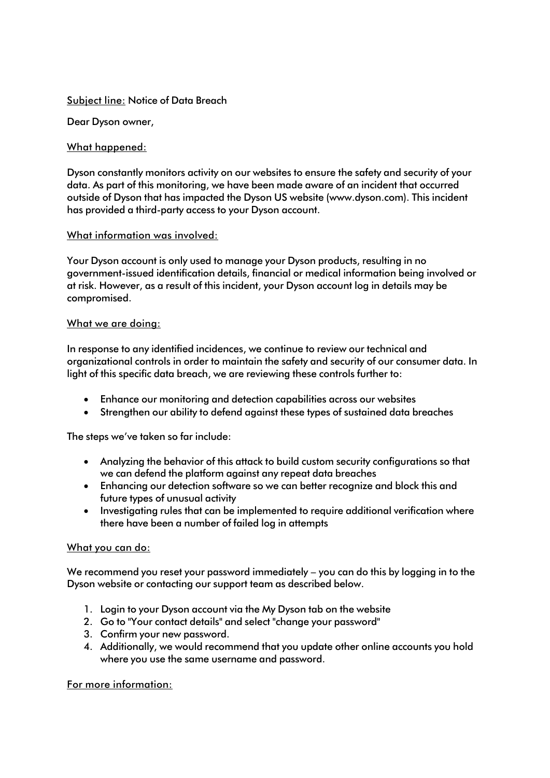## Subject line: Notice of Data Breach

Dear Dyson owner,

# What happened:

Dyson constantly monitors activity on our websites to ensure the safety and security of your data. As part of this monitoring, we have been made aware of an incident that occurred outside of Dyson that has impacted the Dyson US website [\(www.dyson.com\)](http://www.dyson.com/). This incident has provided a third-party access to your Dyson account.

## What information was involved:

Your Dyson account is only used to manage your Dyson products, resulting in no government-issued identification details, financial or medical information being involved or at risk. However, as a result of this incident, your Dyson account log in details may be compromised.

# What we are doing:

In response to any identified incidences, we continue to review our technical and organizational controls in order to maintain the safety and security of our consumer data. In light of this specific data breach, we are reviewing these controls further to:

- Enhance our monitoring and detection capabilities across our websites
- Strengthen our ability to defend against these types of sustained data breaches

The steps we've taken so far include:

- Analyzing the behavior of this attack to build custom security configurations so that we can defend the platform against any repeat data breaches
- Enhancing our detection software so we can better recognize and block this and future types of unusual activity
- Investigating rules that can be implemented to require additional verification where there have been a number of failed log in attempts

## What you can do:

We recommend you reset your password immediately – you can do this by logging in to the Dyson website or contacting our support team as described below.

- 1. Login to your Dyson account via the My Dyson tab on the website
- 2. Go to "Your contact details" and select "change your password"
- 3. Confirm your new password.
- 4. Additionally, we would recommend that you update other online accounts you hold where you use the same username and password.

## For more information: